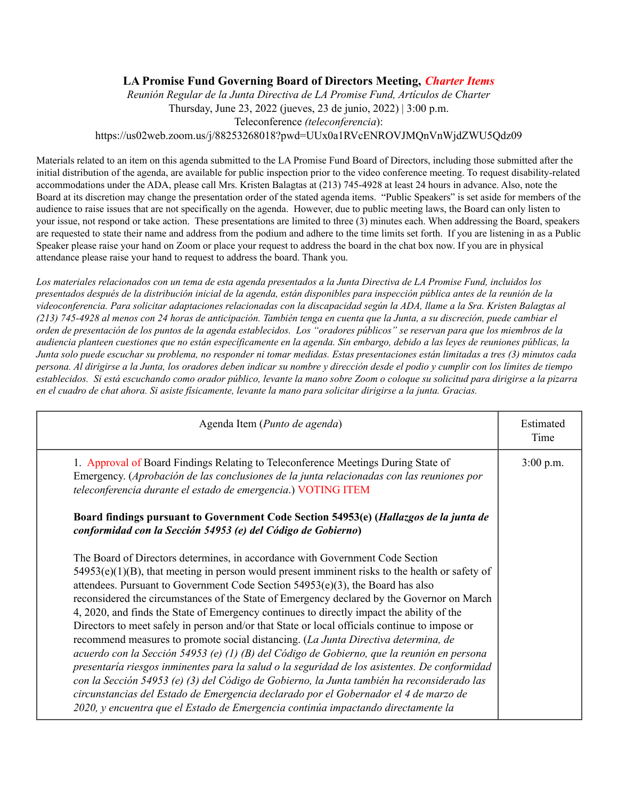## **LA Promise Fund Governing Board of Directors Meeting,** *Charter Items*

*Reunión Regular de la Junta Directiva de LA Promise Fund, Artículos de Charter* Thursday, June 23, 2022 (jueves, 23 de junio, 2022) | 3:00 p.m. Teleconference *(teleconferencia*): https://us02web.zoom.us/j/88253268018?pwd=UUx0a1RVcENROVJMQnVnWjdZWU5Qdz09

Materials related to an item on this agenda submitted to the LA Promise Fund Board of Directors, including those submitted after the initial distribution of the agenda, are available for public inspection prior to the video conference meeting. To request disability-related accommodations under the ADA, please call Mrs. Kristen Balagtas at (213) 745-4928 at least 24 hours in advance. Also, note the Board at its discretion may change the presentation order of the stated agenda items. "Public Speakers" is set aside for members of the audience to raise issues that are not specifically on the agenda. However, due to public meeting laws, the Board can only listen to your issue, not respond or take action. These presentations are limited to three (3) minutes each. When addressing the Board, speakers are requested to state their name and address from the podium and adhere to the time limits set forth. If you are listening in as a Public Speaker please raise your hand on Zoom or place your request to address the board in the chat box now. If you are in physical attendance please raise your hand to request to address the board. Thank you.

Los materiales relacionados con un tema de esta agenda presentados a la Junta Directiva de LA Promise Fund, incluidos los presentados después de la distribución inicial de la agenda, están disponibles para inspección pública antes de la reunión de la videoconferencia. Para solicitar adaptaciones relacionadas con la discapacidad según la ADA, llame a la Sra. Kristen Balagtas al (213) 745-4928 al menos con 24 horas de anticipación. También tenga en cuenta que la Junta, a su discreción, puede cambiar el orden de presentación de los puntos de la agenda establecidos. Los "oradores públicos" se reservan para que los miembros de la audiencia planteen cuestiones que no están específicamente en la agenda. Sin embargo, debido a las leyes de reuniones públicas, la Junta solo puede escuchar su problema, no responder ni tomar medidas. Estas presentaciones están limitadas a tres (3) minutos cada persona. Al dirigirse a la Junta, los oradores deben indicar su nombre y dirección desde el podio y cumplir con los límites de tiempo establecidos. Si está escuchando como orador público, levante la mano sobre Zoom o coloque su solicitud para dirigirse a la pizarra en el cuadro de chat ahora. Si asiste físicamente, levante la mano para solicitar dirigirse a la junta. Gracias.

| Agenda Item (Punto de agenda)                                                                                                                                                                                                                                                                                                                                                                                                                                                                                                                                                                                                                                                                                                                                                                                                                                                                                                                                                                                                                                                                                                       | Estimated<br>Time |
|-------------------------------------------------------------------------------------------------------------------------------------------------------------------------------------------------------------------------------------------------------------------------------------------------------------------------------------------------------------------------------------------------------------------------------------------------------------------------------------------------------------------------------------------------------------------------------------------------------------------------------------------------------------------------------------------------------------------------------------------------------------------------------------------------------------------------------------------------------------------------------------------------------------------------------------------------------------------------------------------------------------------------------------------------------------------------------------------------------------------------------------|-------------------|
| 1. Approval of Board Findings Relating to Teleconference Meetings During State of<br>Emergency. (Aprobación de las conclusiones de la junta relacionadas con las reuniones por<br>teleconferencia durante el estado de emergencia.) VOTING ITEM                                                                                                                                                                                                                                                                                                                                                                                                                                                                                                                                                                                                                                                                                                                                                                                                                                                                                     | $3:00$ p.m.       |
| Board findings pursuant to Government Code Section 54953(e) (Hallazgos de la junta de<br>conformidad con la Sección 54953 (e) del Código de Gobierno)                                                                                                                                                                                                                                                                                                                                                                                                                                                                                                                                                                                                                                                                                                                                                                                                                                                                                                                                                                               |                   |
| The Board of Directors determines, in accordance with Government Code Section<br>$54953(e)(1)(B)$ , that meeting in person would present imminent risks to the health or safety of<br>attendees. Pursuant to Government Code Section $54953(e)(3)$ , the Board has also<br>reconsidered the circumstances of the State of Emergency declared by the Governor on March<br>4, 2020, and finds the State of Emergency continues to directly impact the ability of the<br>Directors to meet safely in person and/or that State or local officials continue to impose or<br>recommend measures to promote social distancing. (La Junta Directiva determina, de<br>acuerdo con la Sección 54953 (e) (1) (B) del Código de Gobierno, que la reunión en persona<br>presentaría riesgos inminentes para la salud o la seguridad de los asistentes. De conformidad<br>con la Sección 54953 (e) (3) del Código de Gobierno, la Junta también ha reconsiderado las<br>circunstancias del Estado de Emergencia declarado por el Gobernador el 4 de marzo de<br>2020, y encuentra que el Estado de Emergencia continúa impactando directamente la |                   |